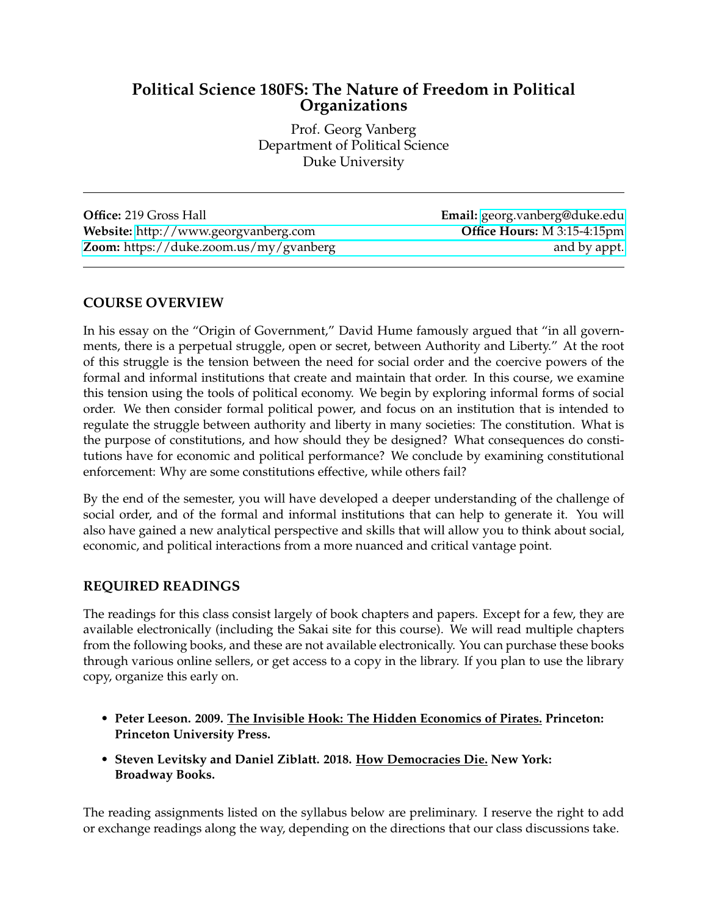# **Political Science 180FS: The Nature of Freedom in Political Organizations**

Prof. Georg Vanberg Department of Political Science Duke University

**Office:** 219 Gross Hall **Email:** [georg.vanberg@duke.edu](mailto:georg.vanberg@duke.edu) **Website:** <http://www.georgvanberg.com> **Office Hours:** M 3:15-4:15pm **Zoom:** [https://duke.zoom.us/my/gvanberg and by appt.](http://www.georgvanberg.com)

# **COURSE OVERVIEW**

In his essay on the "Origin of Government," David Hume famously argued that "in all governments, there is a perpetual struggle, open or secret, between Authority and Liberty." At the root of this struggle is the tension between the need for social order and the coercive powers of the formal and informal institutions that create and maintain that order. In this course, we examine this tension using the tools of political economy. We begin by exploring informal forms of social order. We then consider formal political power, and focus on an institution that is intended to regulate the struggle between authority and liberty in many societies: The constitution. What is the purpose of constitutions, and how should they be designed? What consequences do constitutions have for economic and political performance? We conclude by examining constitutional enforcement: Why are some constitutions effective, while others fail?

By the end of the semester, you will have developed a deeper understanding of the challenge of social order, and of the formal and informal institutions that can help to generate it. You will also have gained a new analytical perspective and skills that will allow you to think about social, economic, and political interactions from a more nuanced and critical vantage point.

### **REQUIRED READINGS**

The readings for this class consist largely of book chapters and papers. Except for a few, they are available electronically (including the Sakai site for this course). We will read multiple chapters from the following books, and these are not available electronically. You can purchase these books through various online sellers, or get access to a copy in the library. If you plan to use the library copy, organize this early on.

- **Peter Leeson. 2009. The Invisible Hook: The Hidden Economics of Pirates. Princeton: Princeton University Press.**
- **Steven Levitsky and Daniel Ziblatt. 2018. How Democracies Die. New York: Broadway Books.**

The reading assignments listed on the syllabus below are preliminary. I reserve the right to add or exchange readings along the way, depending on the directions that our class discussions take.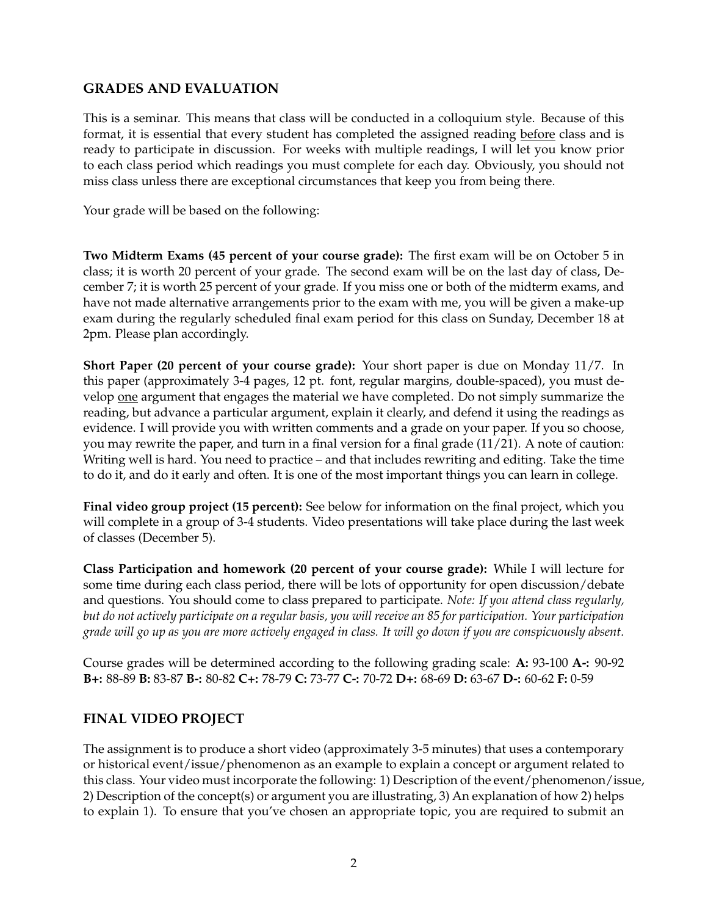# **GRADES AND EVALUATION**

This is a seminar. This means that class will be conducted in a colloquium style. Because of this format, it is essential that every student has completed the assigned reading before class and is ready to participate in discussion. For weeks with multiple readings, I will let you know prior to each class period which readings you must complete for each day. Obviously, you should not miss class unless there are exceptional circumstances that keep you from being there.

Your grade will be based on the following:

**Two Midterm Exams (45 percent of your course grade):** The first exam will be on October 5 in class; it is worth 20 percent of your grade. The second exam will be on the last day of class, December 7; it is worth 25 percent of your grade. If you miss one or both of the midterm exams, and have not made alternative arrangements prior to the exam with me, you will be given a make-up exam during the regularly scheduled final exam period for this class on Sunday, December 18 at 2pm. Please plan accordingly.

**Short Paper (20 percent of your course grade):** Your short paper is due on Monday 11/7. In this paper (approximately 3-4 pages, 12 pt. font, regular margins, double-spaced), you must develop one argument that engages the material we have completed. Do not simply summarize the reading, but advance a particular argument, explain it clearly, and defend it using the readings as evidence. I will provide you with written comments and a grade on your paper. If you so choose, you may rewrite the paper, and turn in a final version for a final grade  $(11/21)$ . A note of caution: Writing well is hard. You need to practice – and that includes rewriting and editing. Take the time to do it, and do it early and often. It is one of the most important things you can learn in college.

**Final video group project (15 percent):** See below for information on the final project, which you will complete in a group of 3-4 students. Video presentations will take place during the last week of classes (December 5).

**Class Participation and homework (20 percent of your course grade):** While I will lecture for some time during each class period, there will be lots of opportunity for open discussion/debate and questions. You should come to class prepared to participate. *Note: If you attend class regularly, but do not actively participate on a regular basis, you will receive an 85 for participation. Your participation grade will go up as you are more actively engaged in class. It will go down if you are conspicuously absent.*

Course grades will be determined according to the following grading scale: **A:** 93-100 **A-:** 90-92 **B+:** 88-89 **B:** 83-87 **B-:** 80-82 **C+:** 78-79 **C:** 73-77 **C-:** 70-72 **D+:** 68-69 **D:** 63-67 **D-:** 60-62 **F:** 0-59

# **FINAL VIDEO PROJECT**

The assignment is to produce a short video (approximately 3-5 minutes) that uses a contemporary or historical event/issue/phenomenon as an example to explain a concept or argument related to this class. Your video must incorporate the following: 1) Description of the event/phenomenon/issue, 2) Description of the concept(s) or argument you are illustrating, 3) An explanation of how 2) helps to explain 1). To ensure that you've chosen an appropriate topic, you are required to submit an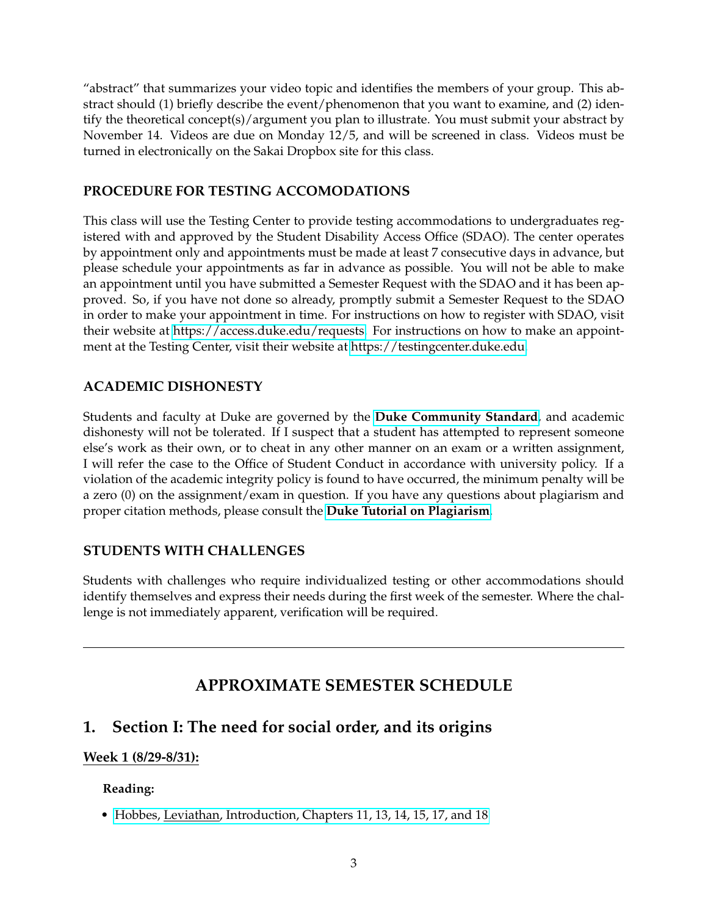"abstract" that summarizes your video topic and identifies the members of your group. This abstract should (1) briefly describe the event/phenomenon that you want to examine, and (2) identify the theoretical concept(s)/argument you plan to illustrate. You must submit your abstract by November 14. Videos are due on Monday 12/5, and will be screened in class. Videos must be turned in electronically on the Sakai Dropbox site for this class.

# **PROCEDURE FOR TESTING ACCOMODATIONS**

This class will use the Testing Center to provide testing accommodations to undergraduates registered with and approved by the Student Disability Access Office (SDAO). The center operates by appointment only and appointments must be made at least 7 consecutive days in advance, but please schedule your appointments as far in advance as possible. You will not be able to make an appointment until you have submitted a Semester Request with the SDAO and it has been approved. So, if you have not done so already, promptly submit a Semester Request to the SDAO in order to make your appointment in time. For instructions on how to register with SDAO, visit their website at [https://access.duke.edu/requests.](https://access.duke.edu/requests) For instructions on how to make an appointment at the Testing Center, visit their website at [https://testingcenter.duke.edu.](https://testingcenter.duke.edu)

# **ACADEMIC DISHONESTY**

Students and faculty at Duke are governed by the **[Duke Community Standard](http://studentaffairs.duke.edu/conduct/about-us/duke-community-standard)**, and academic dishonesty will not be tolerated. If I suspect that a student has attempted to represent someone else's work as their own, or to cheat in any other manner on an exam or a written assignment, I will refer the case to the Office of Student Conduct in accordance with university policy. If a violation of the academic integrity policy is found to have occurred, the minimum penalty will be a zero (0) on the assignment/exam in question. If you have any questions about plagiarism and proper citation methods, please consult the **[Duke Tutorial on Plagiarism](http://library.duke.edu/research/plagiarism)**.

# **STUDENTS WITH CHALLENGES**

Students with challenges who require individualized testing or other accommodations should identify themselves and express their needs during the first week of the semester. Where the challenge is not immediately apparent, verification will be required.

# **APPROXIMATE SEMESTER SCHEDULE**

# **1. Section I: The need for social order, and its origins**

# **Week 1 (8/29-8/31):**

### **Reading:**

• [Hobbes, Leviathan, Introduction, Chapters 11, 13, 14, 15, 17, and 18](https://ebooks.adelaide.edu.au/h/hobbes/thomas/h68l/)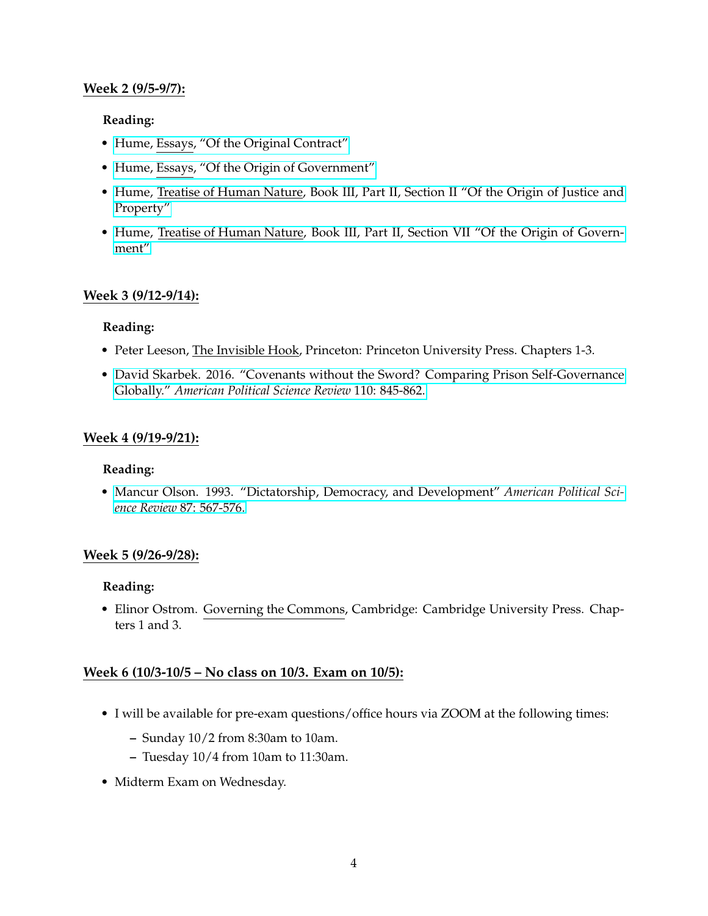## **Week 2 (9/5-9/7):**

### **Reading:**

- • [Hume, Essays, "Of the Original Contract"](http://www.econlib.org/library/LFBooks/Hume/hmMPL35.html#Part%20II,%20Essay%20XII,%20OF%20THE%20ORIGINAL%20CONTRACT)
- • [Hume, Essays, "Of the Origin of Government"](https://ebooks.adelaide.edu.au/h/hume/david/of-the-origin-of-government/)
- • [Hume, Treatise of Human Nature, Book III, Part II, Section II "Of the Origin of Justice and](https://ebooks.adelaide.edu.au/h/hume/david/h92t/index.html) [Property"](https://ebooks.adelaide.edu.au/h/hume/david/h92t/index.html)
- • [Hume, Treatise of Human Nature, Book III, Part II, Section VII "Of the Origin of Govern](https://ebooks.adelaide.edu.au/h/hume/david/h92t/index.html)[ment"](https://ebooks.adelaide.edu.au/h/hume/david/h92t/index.html)

### **Week 3 (9/12-9/14):**

#### **Reading:**

- Peter Leeson, The Invisible Hook, Princeton: Princeton University Press. Chapters 1-3.
- • [David Skarbek. 2016. "Covenants without the Sword? Comparing Prison Self-Governance](https://www.cambridge.org/core/services/aop-cambridge-core/content/view/8B6C1317700957B3981527B42A8360C0/S0003055416000563a.pdf/div-class-title-covenants-without-the-sword-comparing-prison-self-governance-globally-div.pdf) Globally." *[American Political Science Review](https://www.cambridge.org/core/services/aop-cambridge-core/content/view/8B6C1317700957B3981527B42A8360C0/S0003055416000563a.pdf/div-class-title-covenants-without-the-sword-comparing-prison-self-governance-globally-div.pdf)* 110: 845-862.

#### **Week 4 (9/19-9/21):**

#### **Reading:**

• [Mancur Olson. 1993. "Dictatorship, Democracy, and Development"](http://www.jstor.org/stable/2938736) *American Political Science Review* [87: 567-576.](http://www.jstor.org/stable/2938736)

### **Week 5 (9/26-9/28):**

#### **Reading:**

• Elinor Ostrom. Governing the Commons, Cambridge: Cambridge University Press. Chapters 1 and 3.

### **Week 6 (10/3-10/5 – No class on 10/3. Exam on 10/5):**

- I will be available for pre-exam questions/office hours via ZOOM at the following times:
	- **–** Sunday 10/2 from 8:30am to 10am.
	- **–** Tuesday 10/4 from 10am to 11:30am.
- Midterm Exam on Wednesday.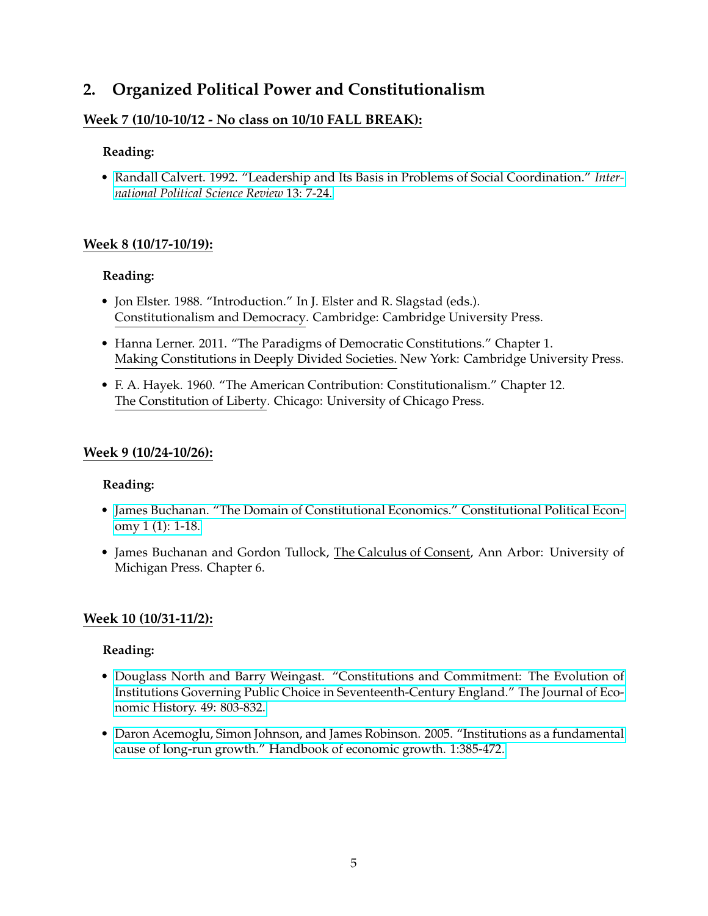# **2. Organized Political Power and Constitutionalism**

# **Week 7 (10/10-10/12 - No class on 10/10 FALL BREAK):**

## **Reading:**

• [Randall Calvert. 1992. "Leadership and Its Basis in Problems of Social Coordination."](https://doi-org.proxy.lib.duke.edu/10.1177/019251219201300102) *Inter[national Political Science Review](https://doi-org.proxy.lib.duke.edu/10.1177/019251219201300102)* 13: 7-24.

# **Week 8 (10/17-10/19):**

## **Reading:**

- Jon Elster. 1988. "Introduction." In J. Elster and R. Slagstad (eds.). Constitutionalism and Democracy. Cambridge: Cambridge University Press.
- Hanna Lerner. 2011. "The Paradigms of Democratic Constitutions." Chapter 1. Making Constitutions in Deeply Divided Societies. New York: Cambridge University Press.
- F. A. Hayek. 1960. "The American Contribution: Constitutionalism." Chapter 12. The Constitution of Liberty. Chicago: University of Chicago Press.

### **Week 9 (10/24-10/26):**

### **Reading:**

- • [James Buchanan. "The Domain of Constitutional Economics." Constitutional Political Econ](https://link.springer.com/article/10.1007/BF02393031)[omy 1 \(1\): 1-18.](https://link.springer.com/article/10.1007/BF02393031)
- James Buchanan and Gordon Tullock, The Calculus of Consent, Ann Arbor: University of Michigan Press. Chapter 6.

# **Week 10 (10/31-11/2):**

### **Reading:**

- • [Douglass North and Barry Weingast. "Constitutions and Commitment: The Evolution of](https://www.jstor.org/stable/2122739) [Institutions Governing Public Choice in Seventeenth-Century England." The Journal of Eco](https://www.jstor.org/stable/2122739)[nomic History. 49: 803-832.](https://www.jstor.org/stable/2122739)
- • [Daron Acemoglu, Simon Johnson, and James Robinson. 2005. "Institutions as a fundamental](https://economics.mit.edu/files/4469) [cause of long-run growth." Handbook of economic growth. 1:385-472.](https://economics.mit.edu/files/4469)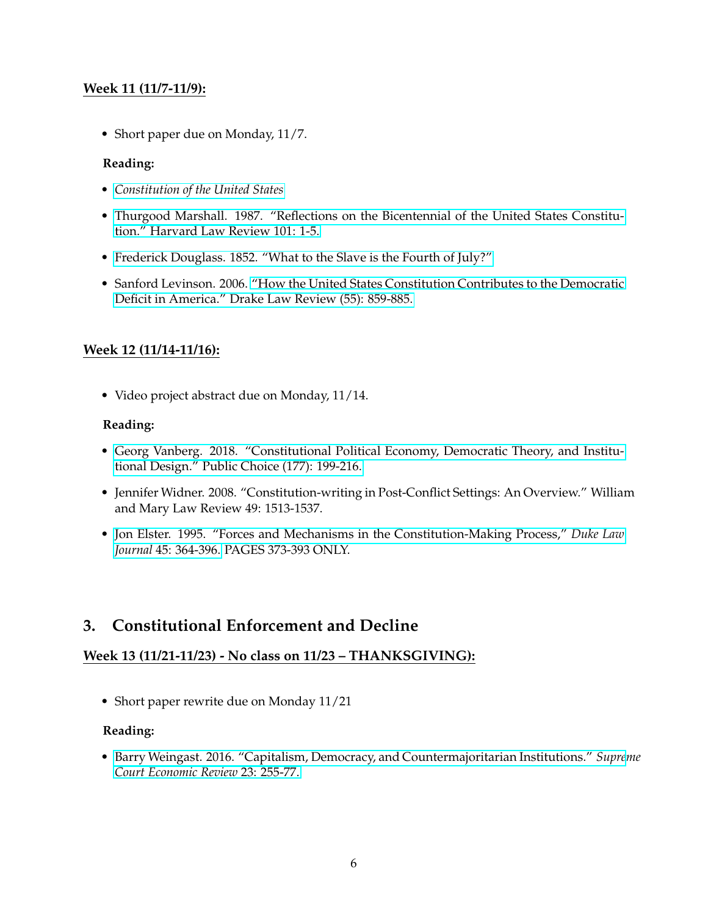# **Week 11 (11/7-11/9):**

• Short paper due on Monday, 11/7.

## **Reading:**

- *[Constitution of the United States](https://www.constituteproject.org/constitution/United_States_of_America_1992)*
- • [Thurgood Marshall. 1987. "Reflections on the Bicentennial of the United States Constitu](https://heinonline.org/HOL/P?h=hein.journals/hlr101&i=19)[tion." Harvard Law Review 101: 1-5.](https://heinonline.org/HOL/P?h=hein.journals/hlr101&i=19)
- • [Frederick Douglass. 1852. "What to the Slave is the Fourth of July?"](https://edsitement.neh.gov/student-activities/frederick-douglasss-what-slave-fourth-july)
- Sanford Levinson. 2006. ["How the United States Constitution Contributes to the Democratic](https://heinonline.org/HOL/P?h=hein.journals/drklr55&i=867) [Deficit in America." Drake Law Review \(55\): 859-885.](https://heinonline.org/HOL/P?h=hein.journals/drklr55&i=867)

# **Week 12 (11/14-11/16):**

• Video project abstract due on Monday, 11/14.

## **Reading:**

- • [Georg Vanberg. 2018. "Constitutional Political Economy, Democratic Theory, and Institu](https://sites.duke.edu/georgvanberg/files/2018/07/Constitutional-Political-Economy-Democratic-Theory-and-Institutional-Design.pdf)[tional Design." Public Choice \(177\): 199-216.](https://sites.duke.edu/georgvanberg/files/2018/07/Constitutional-Political-Economy-Democratic-Theory-and-Institutional-Design.pdf)
- Jennifer Widner. 2008. "Constitution-writing in Post-Conflict Settings: An Overview." William and Mary Law Review 49: 1513-1537.
- • [Jon Elster. 1995. "Forces and Mechanisms in the Constitution-Making Process,"](http://www.jstor.org/stable/1372906) *Duke Law Journal* [45: 364-396.](http://www.jstor.org/stable/1372906) PAGES 373-393 ONLY.

# **3. Constitutional Enforcement and Decline**

# **Week 13 (11/21-11/23) - No class on 11/23 – THANKSGIVING):**

• Short paper rewrite due on Monday 11/21

### **Reading:**

• [Barry Weingast. 2016. "Capitalism, Democracy, and Countermajoritarian Institutions."](https://doi.org/10.1086/686695) *Supreme [Court Economic Review](https://doi.org/10.1086/686695)* 23: 255-77.